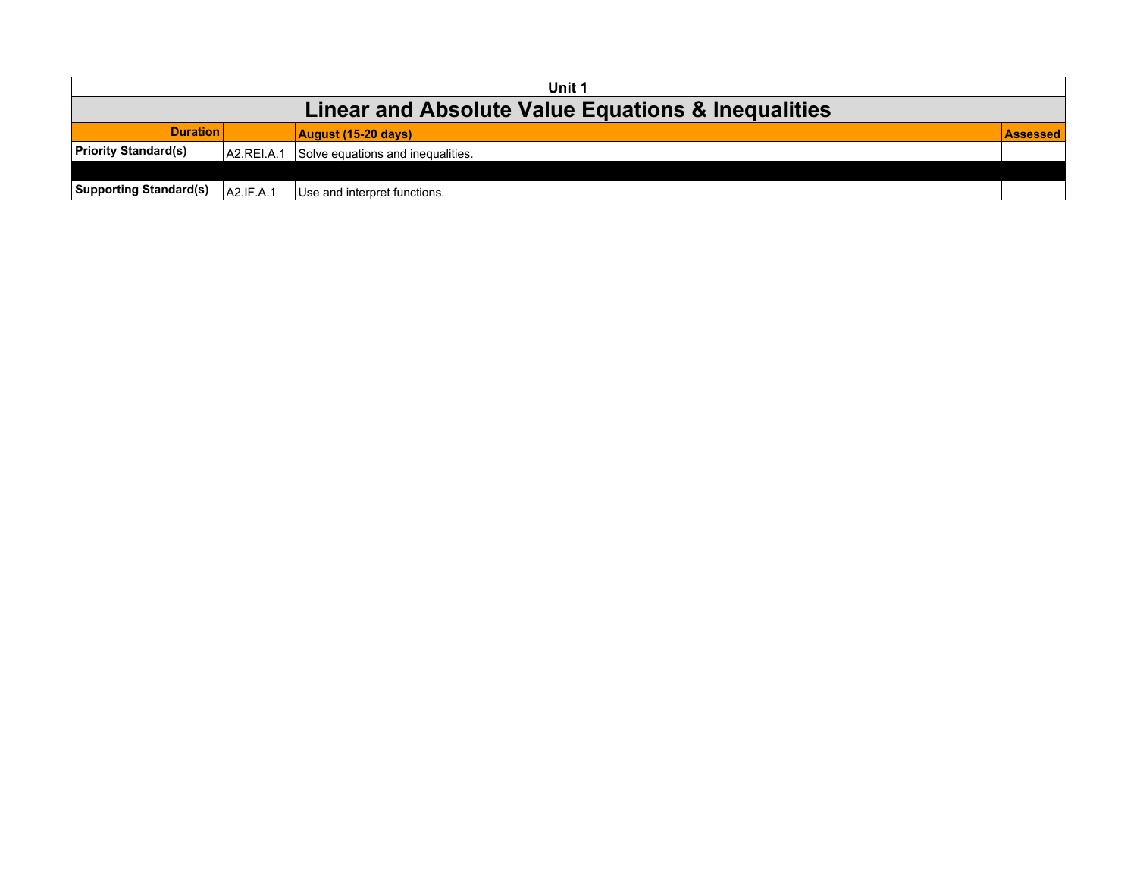| Unit 1                                             |            |                                   |                 |  |  |
|----------------------------------------------------|------------|-----------------------------------|-----------------|--|--|
| Linear and Absolute Value Equations & Inequalities |            |                                   |                 |  |  |
| <b>Duration</b>                                    |            | $\vert$ August (15-20 days)       | <b>ASSessed</b> |  |  |
| <b>Priority Standard(s)</b>                        | A2.REI.A.1 | Solve equations and inequalities. |                 |  |  |
|                                                    |            |                                   |                 |  |  |
| <b>Supporting Standard(s)</b>                      | A2.IF.A.1  | Use and interpret functions.      |                 |  |  |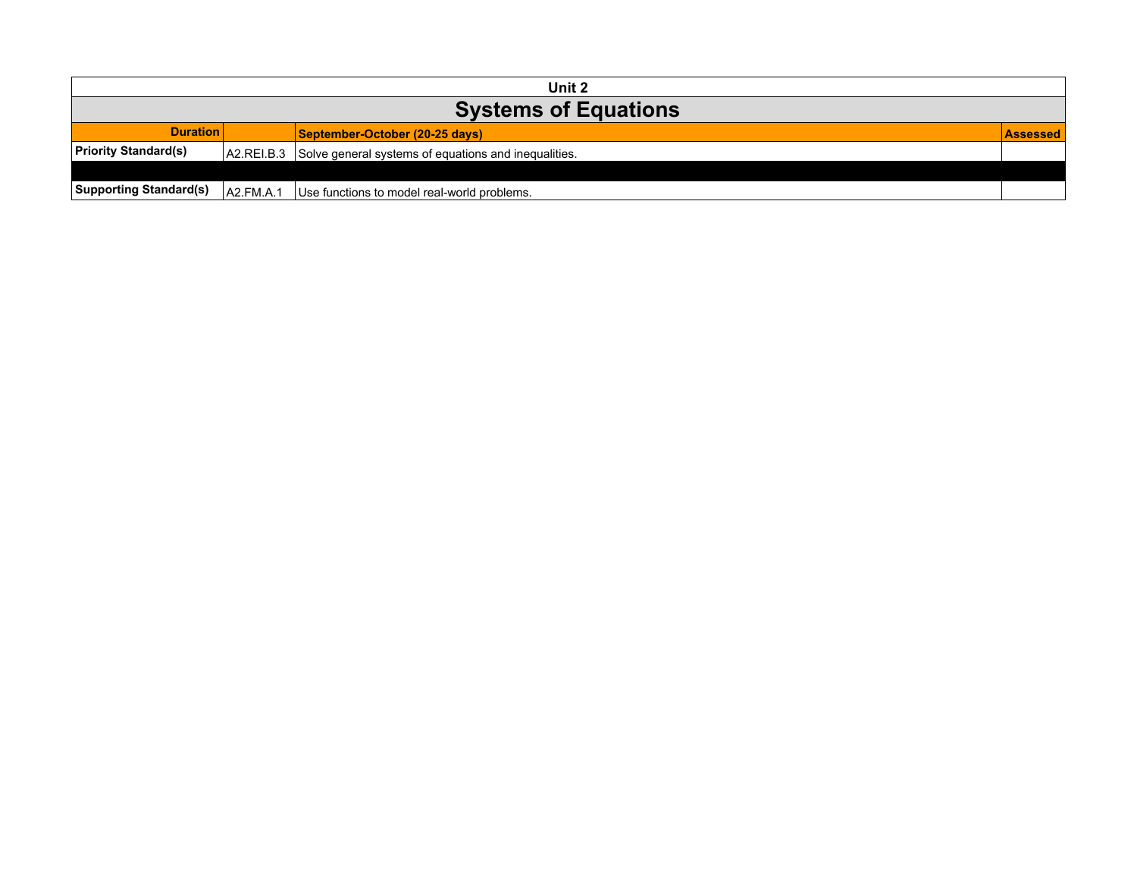| Unit 2                        |           |                                                                 |                 |  |
|-------------------------------|-----------|-----------------------------------------------------------------|-----------------|--|
| <b>Systems of Equations</b>   |           |                                                                 |                 |  |
| <b>Duration</b>               |           | September-October (20-25 days)                                  | <b>Assessed</b> |  |
| <b>Priority Standard(s)</b>   |           | A2.REI.B.3 Solve general systems of equations and inequalities. |                 |  |
|                               |           |                                                                 |                 |  |
| <b>Supporting Standard(s)</b> | A2.FM.A.1 | Use functions to model real-world problems.                     |                 |  |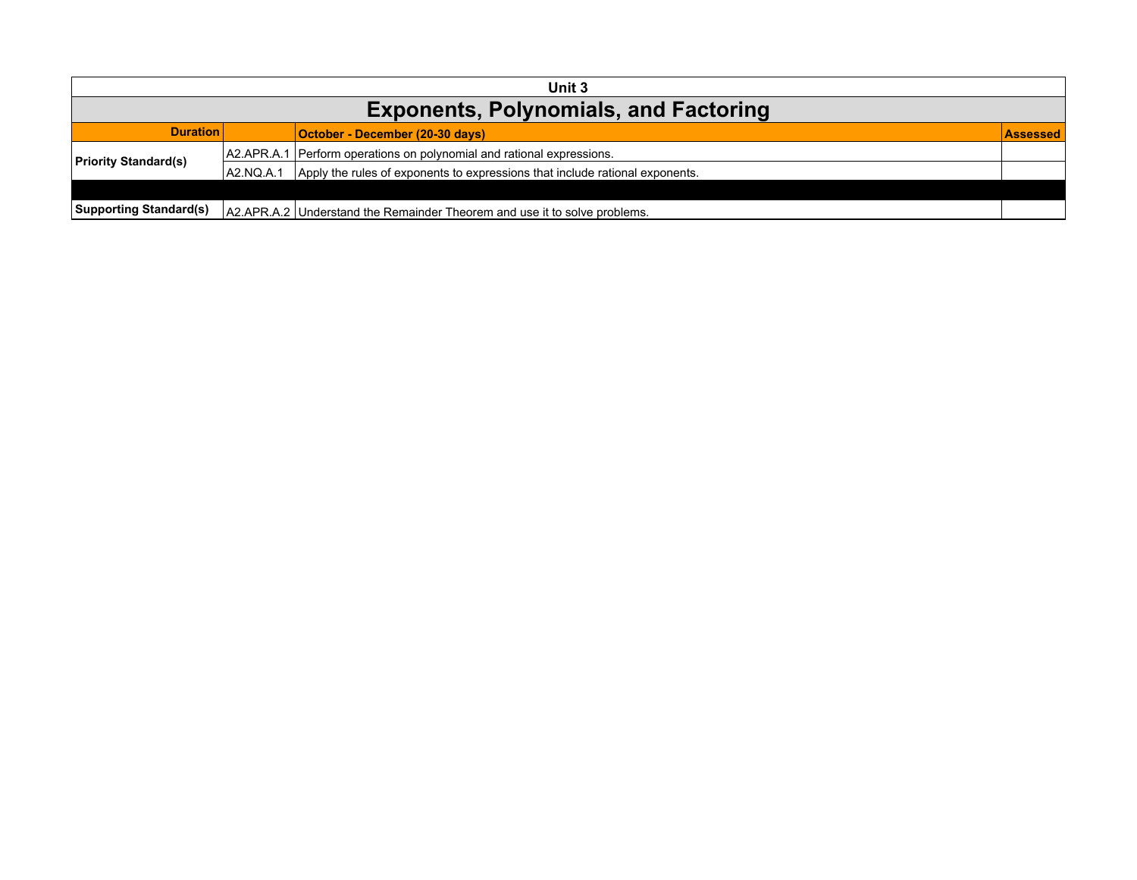| Unit 3                                       |           |                                                                              |                 |  |
|----------------------------------------------|-----------|------------------------------------------------------------------------------|-----------------|--|
| <b>Exponents, Polynomials, and Factoring</b> |           |                                                                              |                 |  |
| <b>Duration</b>                              |           | October - December (20-30 days)                                              | <b>Assessed</b> |  |
| <b>Priority Standard(s)</b>                  |           | A2.APR.A.1 Perform operations on polynomial and rational expressions.        |                 |  |
|                                              | A2.NQ.A.1 | Apply the rules of exponents to expressions that include rational exponents. |                 |  |
|                                              |           |                                                                              |                 |  |
| <b>Supporting Standard(s)</b>                |           | A2.APR.A.2   Understand the Remainder Theorem and use it to solve problems.  |                 |  |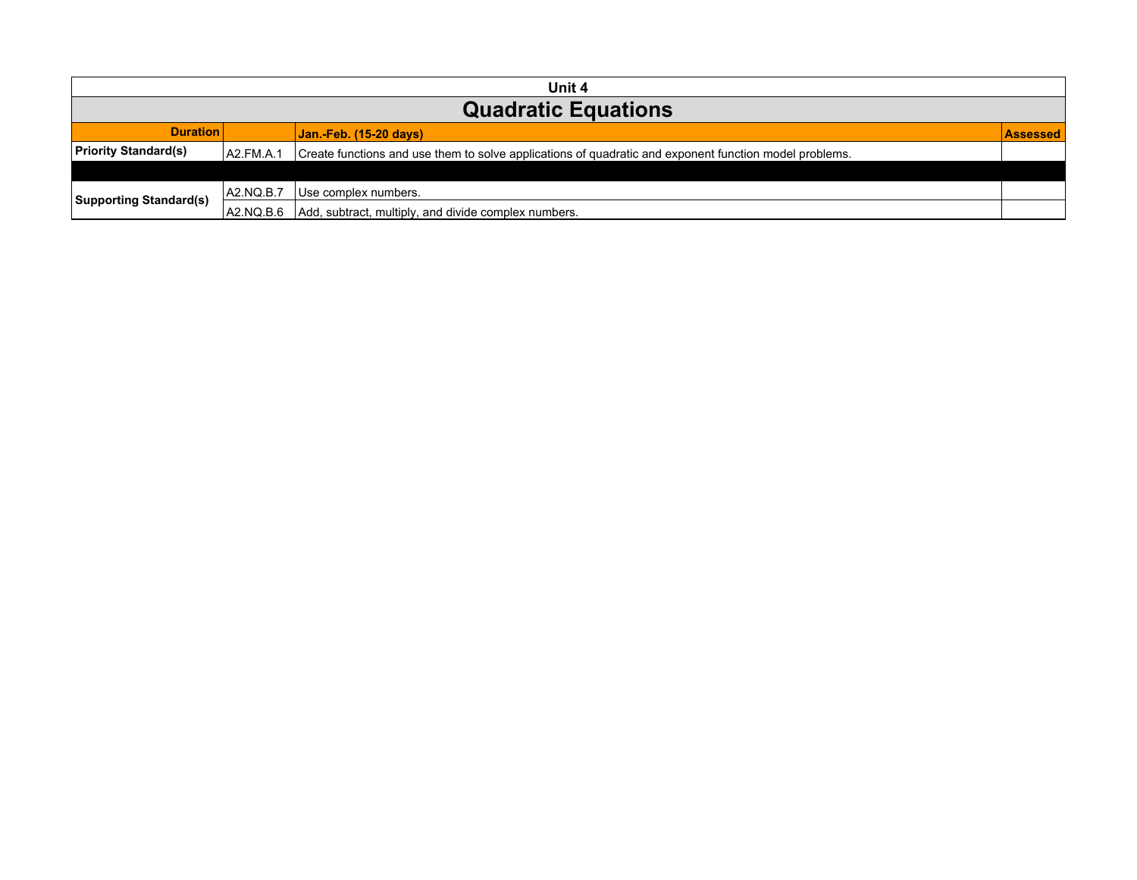| Unit 4                        |           |                                                                                                        |                 |  |
|-------------------------------|-----------|--------------------------------------------------------------------------------------------------------|-----------------|--|
| <b>Quadratic Equations</b>    |           |                                                                                                        |                 |  |
| <b>Duration</b>               |           | Jan.-Feb. (15-20 days)                                                                                 | <b>Assessed</b> |  |
| <b>Priority Standard(s)</b>   | A2.FM.A.1 | Create functions and use them to solve applications of quadratic and exponent function model problems. |                 |  |
|                               |           |                                                                                                        |                 |  |
| <b>Supporting Standard(s)</b> | A2.NQ.B.7 | Use complex numbers.                                                                                   |                 |  |
|                               | A2.NQ.B.6 | Add, subtract, multiply, and divide complex numbers.                                                   |                 |  |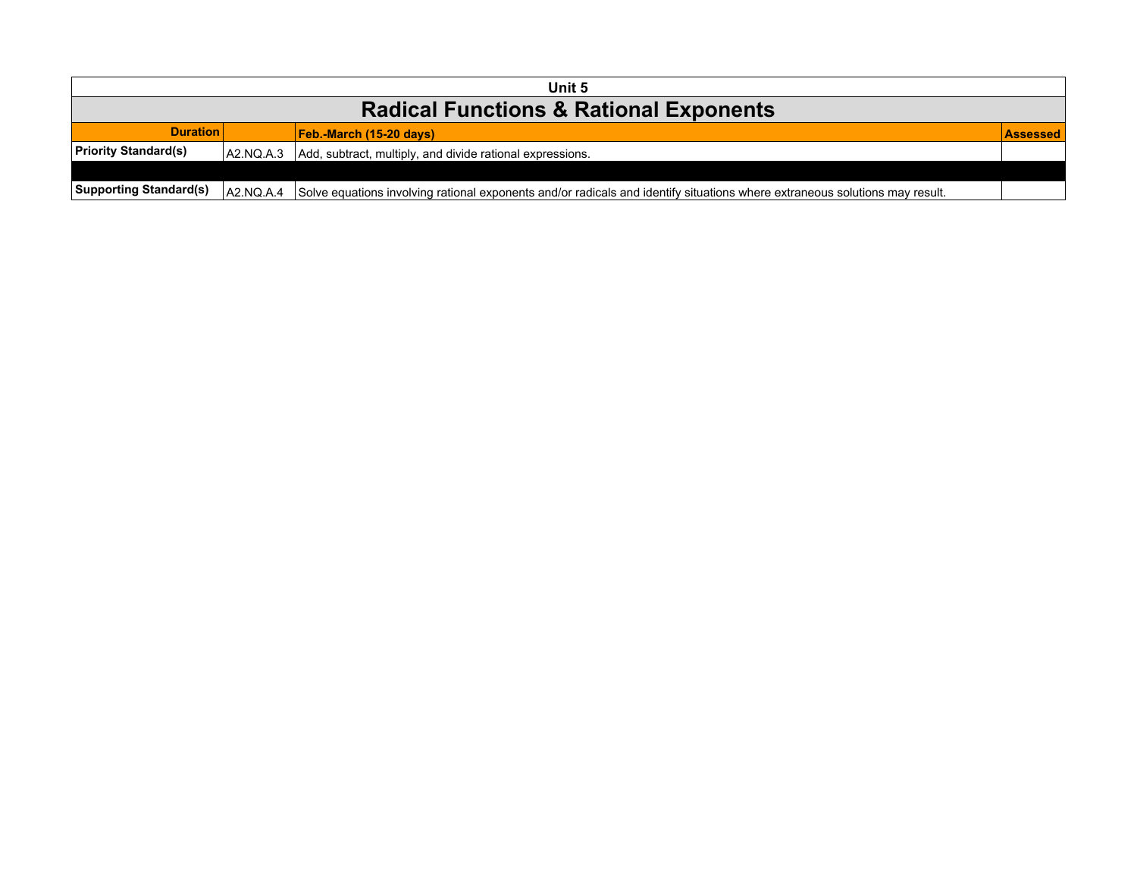| Unit 5                                            |           |                                                                                                                             |                  |  |  |
|---------------------------------------------------|-----------|-----------------------------------------------------------------------------------------------------------------------------|------------------|--|--|
| <b>Radical Functions &amp; Rational Exponents</b> |           |                                                                                                                             |                  |  |  |
| <b>Duration</b>                                   |           | $Feb.$ -March (15-20 days)                                                                                                  | <b>LAssessed</b> |  |  |
| <b>Priority Standard(s)</b>                       |           | A2.NQ.A.3 Add, subtract, multiply, and divide rational expressions.                                                         |                  |  |  |
|                                                   |           |                                                                                                                             |                  |  |  |
| <b>Supporting Standard(s)</b>                     | A2.NQ.A.4 | Solve equations involving rational exponents and/or radicals and identify situations where extraneous solutions may result. |                  |  |  |